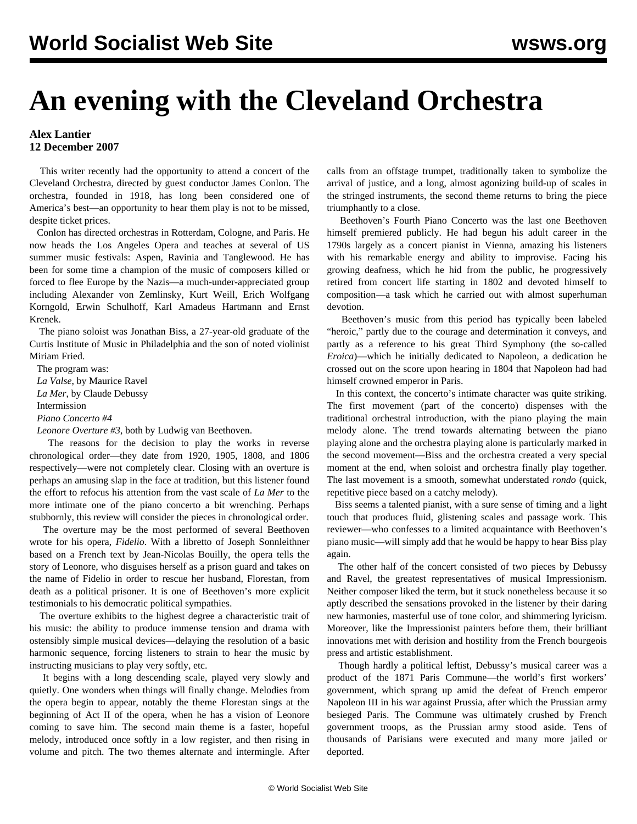## **An evening with the Cleveland Orchestra**

## **Alex Lantier 12 December 2007**

 This writer recently had the opportunity to attend a concert of the Cleveland Orchestra, directed by guest conductor James Conlon. The orchestra, founded in 1918, has long been considered one of America's best—an opportunity to hear them play is not to be missed, despite ticket prices.

 Conlon has directed orchestras in Rotterdam, Cologne, and Paris. He now heads the Los Angeles Opera and teaches at several of US summer music festivals: Aspen, Ravinia and Tanglewood. He has been for some time a champion of the music of composers killed or forced to flee Europe by the Nazis—a much-under-appreciated group including Alexander von Zemlinsky, Kurt Weill, Erich Wolfgang Korngold, Erwin Schulhoff, Karl Amadeus Hartmann and Ernst Krenek.

 The piano soloist was Jonathan Biss, a 27-year-old graduate of the Curtis Institute of Music in Philadelphia and the son of noted violinist Miriam Fried.

 The program was: *La Valse*, by Maurice Ravel *La Mer*, by Claude Debussy Intermission *Piano Concerto #4*

*Leonore Overture #3*, both by Ludwig van Beethoven.

 The reasons for the decision to play the works in reverse chronological order—they date from 1920, 1905, 1808, and 1806 respectively—were not completely clear. Closing with an overture is perhaps an amusing slap in the face at tradition, but this listener found the effort to refocus his attention from the vast scale of *La Mer* to the more intimate one of the piano concerto a bit wrenching. Perhaps stubbornly, this review will consider the pieces in chronological order.

 The overture may be the most performed of several Beethoven wrote for his opera, *Fidelio*. With a libretto of Joseph Sonnleithner based on a French text by Jean-Nicolas Bouilly, the opera tells the story of Leonore, who disguises herself as a prison guard and takes on the name of Fidelio in order to rescue her husband, Florestan, from death as a political prisoner. It is one of Beethoven's more explicit testimonials to his democratic political sympathies.

 The overture exhibits to the highest degree a characteristic trait of his music: the ability to produce immense tension and drama with ostensibly simple musical devices—delaying the resolution of a basic harmonic sequence, forcing listeners to strain to hear the music by instructing musicians to play very softly, etc.

 It begins with a long descending scale, played very slowly and quietly. One wonders when things will finally change. Melodies from the opera begin to appear, notably the theme Florestan sings at the beginning of Act II of the opera, when he has a vision of Leonore coming to save him. The second main theme is a faster, hopeful melody, introduced once softly in a low register, and then rising in volume and pitch. The two themes alternate and intermingle. After calls from an offstage trumpet, traditionally taken to symbolize the arrival of justice, and a long, almost agonizing build-up of scales in the stringed instruments, the second theme returns to bring the piece triumphantly to a close.

 Beethoven's Fourth Piano Concerto was the last one Beethoven himself premiered publicly. He had begun his adult career in the 1790s largely as a concert pianist in Vienna, amazing his listeners with his remarkable energy and ability to improvise. Facing his growing deafness, which he hid from the public, he progressively retired from concert life starting in 1802 and devoted himself to composition—a task which he carried out with almost superhuman devotion.

 Beethoven's music from this period has typically been labeled "heroic," partly due to the courage and determination it conveys, and partly as a reference to his great Third Symphony (the so-called *Eroica*)—which he initially dedicated to Napoleon, a dedication he crossed out on the score upon hearing in 1804 that Napoleon had had himself crowned emperor in Paris.

 In this context, the concerto's intimate character was quite striking. The first movement (part of the concerto) dispenses with the traditional orchestral introduction, with the piano playing the main melody alone. The trend towards alternating between the piano playing alone and the orchestra playing alone is particularly marked in the second movement—Biss and the orchestra created a very special moment at the end, when soloist and orchestra finally play together. The last movement is a smooth, somewhat understated *rondo* (quick, repetitive piece based on a catchy melody).

 Biss seems a talented pianist, with a sure sense of timing and a light touch that produces fluid, glistening scales and passage work. This reviewer—who confesses to a limited acquaintance with Beethoven's piano music—will simply add that he would be happy to hear Biss play again.

 The other half of the concert consisted of two pieces by Debussy and Ravel, the greatest representatives of musical Impressionism. Neither composer liked the term, but it stuck nonetheless because it so aptly described the sensations provoked in the listener by their daring new harmonies, masterful use of tone color, and shimmering lyricism. Moreover, like the Impressionist painters before them, their brilliant innovations met with derision and hostility from the French bourgeois press and artistic establishment.

 Though hardly a political leftist, Debussy's musical career was a product of the 1871 Paris Commune—the world's first workers' government, which sprang up amid the defeat of French emperor Napoleon III in his war against Prussia, after which the Prussian army besieged Paris. The Commune was ultimately crushed by French government troops, as the Prussian army stood aside. Tens of thousands of Parisians were executed and many more jailed or deported.